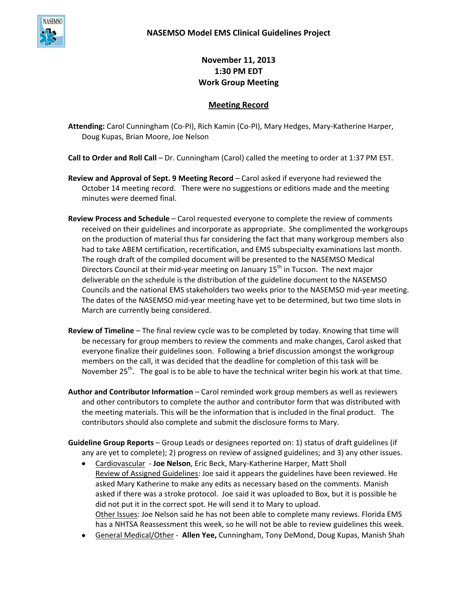

**November 11, 2013 1:30 PM EDT Work Group Meeting**

## **Meeting Record**

**Attending:** Carol Cunningham (Co-PI), Rich Kamin (Co-PI), Mary Hedges, Mary-Katherine Harper, Doug Kupas, Brian Moore, Joe Nelson

**Call to Order and Roll Call** – Dr. Cunningham (Carol) called the meeting to order at 1:37 PM EST.

- **Review and Approval of Sept. 9 Meeting Record** Carol asked if everyone had reviewed the October 14 meeting record. There were no suggestions or editions made and the meeting minutes were deemed final.
- **Review Process and Schedule**  Carol requested everyone to complete the review of comments received on their guidelines and incorporate as appropriate. She complimented the workgroups on the production of material thus far considering the fact that many workgroup members also had to take ABEM certification, recertification, and EMS subspecialty examinations last month. The rough draft of the compiled document will be presented to the NASEMSO Medical Directors Council at their mid-year meeting on January  $15<sup>th</sup>$  in Tucson. The next major deliverable on the schedule is the distribution of the guideline document to the NASEMSO Councils and the national EMS stakeholders two weeks prior to the NASEMSO mid-year meeting. The dates of the NASEMSO mid-year meeting have yet to be determined, but two time slots in March are currently being considered.
- **Review of Timeline**  The final review cycle was to be completed by today. Knowing that time will be necessary for group members to review the comments and make changes, Carol asked that everyone finalize their guidelines soon. Following a brief discussion amongst the workgroup members on the call, it was decided that the deadline for completion of this task will be November 25<sup>th</sup>. The goal is to be able to have the technical writer begin his work at that time.
- **Author and Contributor Information**  Carol reminded work group members as well as reviewers and other contributors to complete the author and contributor form that was distributed with the meeting materials. This will be the information that is included in the final product. The contributors should also complete and submit the disclosure forms to Mary.
- **Guideline Group Reports**  Group Leads or designees reported on: 1) status of draft guidelines (if any are yet to complete); 2) progress on review of assigned guidelines; and 3) any other issues.
	- Cardiovascular **Joe Nelson**, Eric Beck, Mary-Katherine Harper, Matt Sholl Review of Assigned Guidelines: Joe said it appears the guidelines have been reviewed. He asked Mary Katherine to make any edits as necessary based on the comments. Manish asked if there was a stroke protocol. Joe said it was uploaded to Box, but it is possible he did not put it in the correct spot. He will send it to Mary to upload. Other Issues: Joe Nelson said he has not been able to complete many reviews. Florida EMS has a NHTSA Reassessment this week, so he will not be able to review guidelines this week.
	- General Medical/Other **Allen Yee,** Cunningham, Tony DeMond, Doug Kupas, Manish Shah